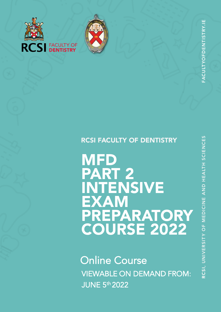

**CSI FACULTY OF** 



# RCSI FACULTY OF DENTISTRY

**MFD** PART 2 INTENSIVE EXAM PREPARATORY COURSE 2022

**Online Course** VIEWABLE ON DEMAND FROM: JUNE 5 th 2022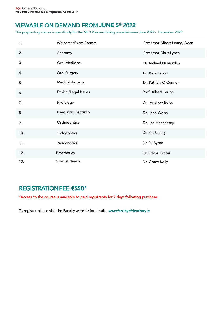# VIEWABLE ON DEMAND FROM <mark>JUNE</mark> 5<sup>th</sup> 2022

This preparatory course is specifically for the MFD 2 exams taking place between June 2022 - December 2022.

| 1.  | Welcome/Exam Format    | Professor Albert Leung, Dean |
|-----|------------------------|------------------------------|
| 2.  | Anatomy                | Professor Chris Lynch        |
| 3.  | Oral Medicine          | Dr. Richael Ni Riordan       |
| 4.  | Oral Surgery           | Dr. Kate Farrell             |
| 5.  | <b>Medical Aspects</b> | Dr. Patricia O'Connor        |
| 6.  | Ethical/Legal Issues   | Prof. Albert Leung           |
| 7.  | Radiology              | Dr. Andrew Bolas             |
| 8.  | Paediatric Dentistry   | Dr. John Walsh               |
| 9.  | Orthodontics           | Dr. Joe Hennessey            |
| 10. | Endodontics            | Dr. Pat Cleary               |
| 11. | Periodontics           | Dr. PJ Byrne                 |
| 12. | Prosthetics            | Dr. Eddie Cotter             |
| 13. | <b>Special Needs</b>   | Dr. Grace Kelly              |

# REGISTRATION FEE: €550\*

\*Access to the course is available to paid registrants for 7 days following purchase.

To register please visit the Faculty website for details www.facultyofdentistry.ie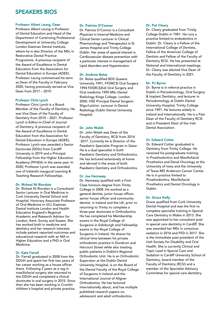# SPEAKERS BIOS

# Professor Albert Leung, Dean

Professor Albert Leung is Professor of Dental Education and Head of the Department of Continuing Professional Development at University College London Eastman Dental Institute, where he is also Director of the MSc in Restorative Dental Practice Programme. A previous recipient of the Award of Excellence in Dental Education from the Association for Dental Education in Europe (ADEE), Professor Leung commenced his term as Dean of the Faculty in February 2020, having previously served as Vice Dean from 2017 – 2019.

#### Professor Chris Lynch

Professor Chris Lynch is a Board Member of the Faculty of Dentistry. He was Vice Dean of the Faculty of Dentistry from 2019 – 2021. Professor Lynch is Editor-in-Chief of Journal of Dentistry. A previous recipient of the Award of Excellence in Dental Education from the Association for Dental Education in Europe (ADEE), Professor Lynch was awarded a Senior Doctorate (DDSc) from Cardiff University in 2019 and a Principal Fellowship from the Higher Education Academy (PFHEA) in the same year. In 2020, Professor Lynch was awarded one of Ireland's inaugural Learning & Teaching Research Fellowships.

# Dr. Richeal Ni Riordain

Dr. Richeal Ni Riordain is a Consultant/ Senior Lecturer in Oral Medicine in Cork University Dental School and Hospital, Honorary Associate Professor of Oral Medicine in UCL Eastman Dental Institute London and Health Education England's Regional Academic and Research Advisor for London, Kent, Surrey and Sussex. She has worked both in medicine and dentistry and her research interests include patient reported outcomes and educational research with an MA in Higher Education and a PhD in Oral Medicine.

# Dr. Kate Farrell

Dr. Farrell graduated in 2008 from the DDUH and spent her first two years of her career working as a house officer there. Following 2 years as a reg in maxillofacial surgery she returned to the DDUH and completed a clinical doctorate in oral surgery in 2015. Since then she has been working in Crumlin children's hospital and private practice.

#### Dr. Patricia O'Connor

Dr. Patricia O'Connor is a Consultant Physician in Internal Medicine and Clinical Senior Lecturer in Clinical Pharmacology and Therapeutics in St James Hospital and Trinity College Dublin. Her areas of special interest is Cardiovascular disease prevention with a particular interest in management of Lipid disorders and Hypertension.

# Dr. Andrew Bolas

Dr. Bolas qualified BDS Queens University 1991, FFDRCSI Oral Surgery 1994 FDSRCS(Ed) Oral Surgery and Oral medicine 1995 MSc Dental Radiology Kings College, London 2000. HSE Principal Dental Surgeon Sligo/Leitrim. Lecturer in Dental Radiology Dublin Dental University Hospital.

# Dr. John Walsh

Dr. John Walsh was Dean of the Faculty of Dentistry, RCSI from 2014 -2017. Currently he is Director of the Paediatric Specialist Program in Qatar. He is a dual specialist in both Paediatric Dentistry and Orthodontics. He has lectured extensively at home and abroad in the areas of both Paediatric Dentistry and Orthodontics.

# Dr. Joe Hennessy

Dr. Hennessy qualified with a First Class honours degree from Trinity College in 2008. He worked as a general dentist, junior house officer, senior house officer and community dentist, in Ireland and the UK, prior to returning to Trinity to complete a three-year doctorate in Orthodontics. He has completed his Membership exams in the Royal College of Surgeons in Edinburgh and Fellowship exams in the Royal College of Surgeons in Ireland. He shares his clinical time between his private orthodontic practice in Dundrum and Harcourt Street while also treating public patients in Dublin's Regional Orthodontic Unit. He is an Orthodontic Supervisor at the Dublin Dental University Hospital, is on the Board of the Dental Faculty of the Royal College of Surgeons in Ireland and the International Journal of Aligner Orthodontics. He has lectured internationally about, and has multiple published research papers on, adolescent and adult orthodontics.

#### Dr. Pat Cleary

Dr. Cleary graduated from Trinity College Dublin in 1981. He runs a practice limited to endodontics in Dublin. Dr. Cleary is a Fellow of the International College of Dentists, Fellow of the American College of Dentists and Fellow of the Faculty of Dentistry RCSI. He has presented at National and International meetings. Dr. Cleary was elected Vice Dean of the Faculty of Dentistry in 2021.

# Dr. PJ Byrne

Dr. Byrne is in referral practice in Dublin in Periodontology, Oral Surgery & Implant Dentistry, and lecturer in Periodontology at Dublin Dental University Hospital, Trinity College since 1991. He lectures widely in Ireland and Internationally. He is a Past Dean of the Faculty of Dentistry RCSI and is President Elect of the Irish Dental Association.

# Dr. Edward Cotter

Dr. Edward Cotter graduated in Dentistry from Trinity College. He received his postgraduate training in Prosthodontics and Maxillofacial Prosthetics and Denal Oncology at the University of Iowa and the University of Texas MD Anderson Cancer Center. He is in practice limited to Prosthodontics, Maxillofacial Prosthetics and Dental Oncology in Dublin.

# Dr. Grace Kelly

Grace qualified from Cork University Dental Hospital and was the first to complete specialist training in Special Care Dentistry in Wales in 2013. She was appointed to her consultant post in special care dentistry in Cardiff. She was awarded her MSc in conscious sedation in 2016 and FFD in 2017. She is the immediate past president of the Irish Society for Disability and Oral Health. She is currently Clinical and Topic Lead in Special Care and Sedation in Cardiff University School of Dentistry, board member of the Faculty of Dentistry (RCSI) and a member of the Specialist Advisory Committee for special care dentistry.